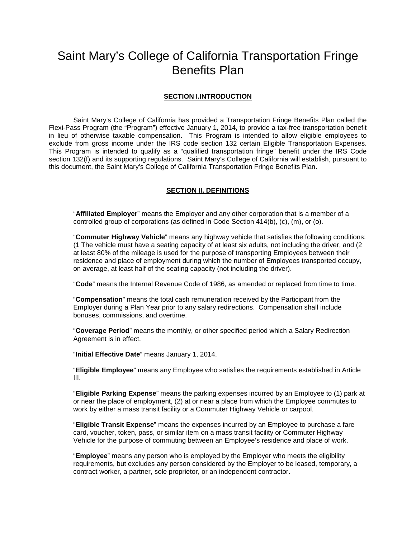# Saint Mary's College of California Transportation Fringe Benefits Plan

## **SECTION I.INTRODUCTION**

Saint Mary's College of California has provided a Transportation Fringe Benefits Plan called the Flexi-Pass Program (the "Program") effective January 1, 2014, to provide a tax-free transportation benefit in lieu of otherwise taxable compensation. This Program is intended to allow eligible employees to exclude from gross income under the IRS code section 132 certain Eligible Transportation Expenses. This Program is intended to qualify as a "qualified transportation fringe" benefit under the IRS Code section 132(f) and its supporting regulations. Saint Mary's College of California will establish, pursuant to this document, the Saint Mary's College of California Transportation Fringe Benefits Plan.

## **SECTION II. DEFINITIONS**

"**Affiliated Employer**" means the Employer and any other corporation that is a member of a controlled group of corporations (as defined in Code Section 414(b), (c), (m), or (o).

"**Commuter Highway Vehicle**" means any highway vehicle that satisfies the following conditions: (1 The vehicle must have a seating capacity of at least six adults, not including the driver, and (2 at least 80% of the mileage is used for the purpose of transporting Employees between their residence and place of employment during which the number of Employees transported occupy, on average, at least half of the seating capacity (not including the driver).

"**Code**" means the Internal Revenue Code of 1986, as amended or replaced from time to time.

"**Compensation**" means the total cash remuneration received by the Participant from the Employer during a Plan Year prior to any salary redirections. Compensation shall include bonuses, commissions, and overtime.

"**Coverage Period**" means the monthly, or other specified period which a Salary Redirection Agreement is in effect.

"**Initial Effective Date**" means January 1, 2014.

"**Eligible Employee**" means any Employee who satisfies the requirements established in Article III.

"**Eligible Parking Expense**" means the parking expenses incurred by an Employee to (1) park at or near the place of employment, (2) at or near a place from which the Employee commutes to work by either a mass transit facility or a Commuter Highway Vehicle or carpool.

"**Eligible Transit Expense**" means the expenses incurred by an Employee to purchase a fare card, voucher, token, pass, or similar item on a mass transit facility or Commuter Highway Vehicle for the purpose of commuting between an Employee's residence and place of work.

"**Employee**" means any person who is employed by the Employer who meets the eligibility requirements, but excludes any person considered by the Employer to be leased, temporary, a contract worker, a partner, sole proprietor, or an independent contractor.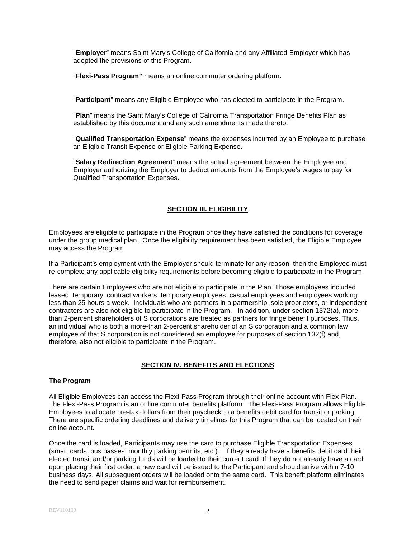"**Employer**" means Saint Mary's College of California and any Affiliated Employer which has adopted the provisions of this Program.

"**Flexi-Pass Program"** means an online commuter ordering platform.

"**Participant**" means any Eligible Employee who has elected to participate in the Program.

"**Plan**" means the Saint Mary's College of California Transportation Fringe Benefits Plan as established by this document and any such amendments made thereto.

"**Qualified Transportation Expense**" means the expenses incurred by an Employee to purchase an Eligible Transit Expense or Eligible Parking Expense.

"**Salary Redirection Agreement**" means the actual agreement between the Employee and Employer authorizing the Employer to deduct amounts from the Employee's wages to pay for Qualified Transportation Expenses.

## **SECTION III. ELIGIBILITY**

Employees are eligible to participate in the Program once they have satisfied the conditions for coverage under the group medical plan. Once the eligibility requirement has been satisfied, the Eligible Employee may access the Program.

If a Participant's employment with the Employer should terminate for any reason, then the Employee must re-complete any applicable eligibility requirements before becoming eligible to participate in the Program.

There are certain Employees who are not eligible to participate in the Plan. Those employees included leased, temporary, contract workers, temporary employees, casual employees and employees working less than 25 hours a week. Individuals who are partners in a partnership, sole proprietors, or independent contractors are also not eligible to participate in the Program. In addition, under section 1372(a), morethan 2-percent shareholders of S corporations are treated as partners for fringe benefit purposes. Thus, an individual who is both a more-than 2-percent shareholder of an S corporation and a common law employee of that S corporation is not considered an employee for purposes of section 132(f) and, therefore, also not eligible to participate in the Program.

## **SECTION IV. BENEFITS AND ELECTIONS**

## **The Program**

All Eligible Employees can access the Flexi-Pass Program through their online account with Flex-Plan. The Flexi-Pass Program is an online commuter benefits platform. The Flexi-Pass Program allows Eligible Employees to allocate pre-tax dollars from their paycheck to a benefits debit card for transit or parking. There are specific ordering deadlines and delivery timelines for this Program that can be located on their online account.

Once the card is loaded, Participants may use the card to purchase Eligible Transportation Expenses (smart cards, bus passes, monthly parking permits, etc.). If they already have a benefits debit card their elected transit and/or parking funds will be loaded to their current card. If they do not already have a card upon placing their first order, a new card will be issued to the Participant and should arrive within 7-10 business days. All subsequent orders will be loaded onto the same card. This benefit platform eliminates the need to send paper claims and wait for reimbursement.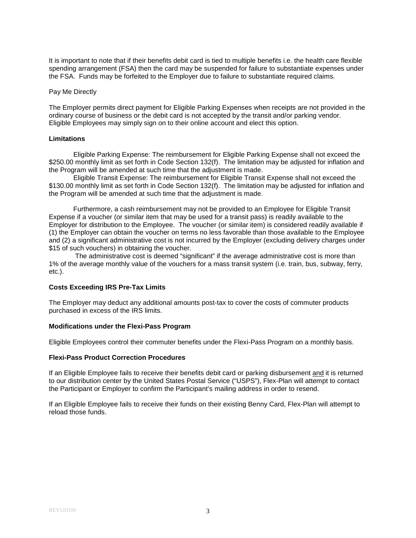It is important to note that if their benefits debit card is tied to multiple benefits i.e. the health care flexible spending arrangement (FSA) then the card may be suspended for failure to substantiate expenses under the FSA. Funds may be forfeited to the Employer due to failure to substantiate required claims.

#### Pay Me Directly

The Employer permits direct payment for Eligible Parking Expenses when receipts are not provided in the ordinary course of business or the debit card is not accepted by the transit and/or parking vendor. Eligible Employees may simply sign on to their online account and elect this option.

#### **Limitations**

Eligible Parking Expense: The reimbursement for Eligible Parking Expense shall not exceed the \$250.00 monthly limit as set forth in Code Section 132(f). The limitation may be adjusted for inflation and the Program will be amended at such time that the adjustment is made.

Eligible Transit Expense: The reimbursement for Eligible Transit Expense shall not exceed the \$130.00 monthly limit as set forth in Code Section 132(f). The limitation may be adjusted for inflation and the Program will be amended at such time that the adjustment is made.

Furthermore, a cash reimbursement may not be provided to an Employee for Eligible Transit Expense if a voucher (or similar item that may be used for a transit pass) is readily available to the Employer for distribution to the Employee. The voucher (or similar item) is considered readily available if (1) the Employer can obtain the voucher on terms no less favorable than those available to the Employee and (2) a significant administrative cost is not incurred by the Employer (excluding delivery charges under \$15 of such vouchers) in obtaining the voucher.

The administrative cost is deemed "significant" if the average administrative cost is more than 1% of the average monthly value of the vouchers for a mass transit system (i.e. train, bus, subway, ferry, etc.).

#### **Costs Exceeding IRS Pre-Tax Limits**

The Employer may deduct any additional amounts post-tax to cover the costs of commuter products purchased in excess of the IRS limits.

#### **Modifications under the Flexi-Pass Program**

Eligible Employees control their commuter benefits under the Flexi-Pass Program on a monthly basis.

#### **Flexi-Pass Product Correction Procedures**

If an Eligible Employee fails to receive their benefits debit card or parking disbursement and it is returned to our distribution center by the United States Postal Service ("USPS"), Flex-Plan will attempt to contact the Participant or Employer to confirm the Participant's mailing address in order to resend.

If an Eligible Employee fails to receive their funds on their existing Benny Card, Flex-Plan will attempt to reload those funds.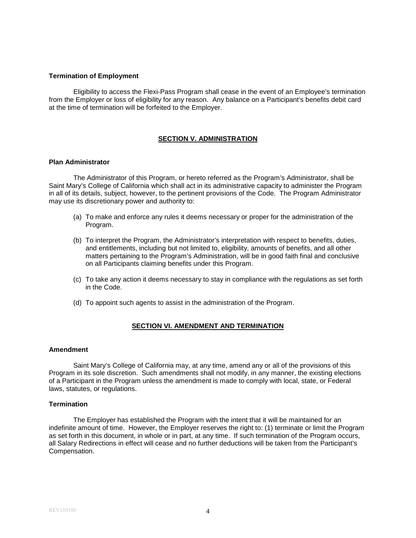## **Termination of Employment**

Eligibility to access the Flexi-Pass Program shall cease in the event of an Employee's termination from the Employer or loss of eligibility for any reason. Any balance on a Participant's benefits debit card at the time of termination will be forfeited to the Employer.

## **SECTION V. ADMINISTRATION**

## **Plan Administrator**

The Administrator of this Program, or hereto referred as the Program's Administrator, shall be Saint Mary's College of California which shall act in its administrative capacity to administer the Program in all of its details, subject, however, to the pertinent provisions of the Code. The Program Administrator may use its discretionary power and authority to:

- (a) To make and enforce any rules it deems necessary or proper for the administration of the Program.
- (b) To interpret the Program, the Administrator's interpretation with respect to benefits, duties, and entitlements, including but not limited to, eligibility, amounts of benefits, and all other matters pertaining to the Program's Administration, will be in good faith final and conclusive on all Participants claiming benefits under this Program.
- (c) To take any action it deems necessary to stay in compliance with the regulations as set forth in the Code.
- (d) To appoint such agents to assist in the administration of the Program.

#### **SECTION VI. AMENDMENT AND TERMINATION**

#### **Amendment**

Saint Mary's College of California may, at any time, amend any or all of the provisions of this Program in its sole discretion. Such amendments shall not modify, in any manner, the existing elections of a Participant in the Program unless the amendment is made to comply with local, state, or Federal laws, statutes, or regulations.

#### **Termination**

The Employer has established the Program with the intent that it will be maintained for an indefinite amount of time. However, the Employer reserves the right to: (1) terminate or limit the Program as set forth in this document, in whole or in part, at any time. If such termination of the Program occurs, all Salary Redirections in effect will cease and no further deductions will be taken from the Participant's Compensation.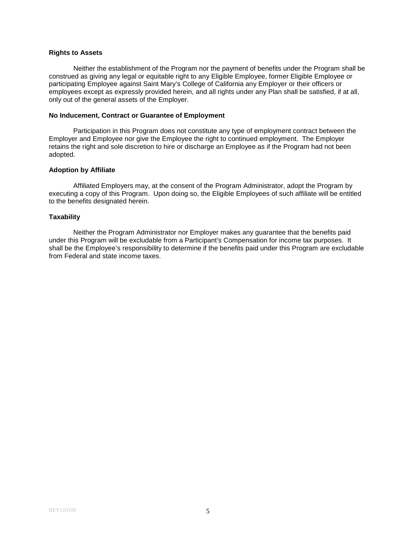## **Rights to Assets**

Neither the establishment of the Program nor the payment of benefits under the Program shall be construed as giving any legal or equitable right to any Eligible Employee, former Eligible Employee or participating Employee against Saint Mary's College of California any Employer or their officers or employees except as expressly provided herein, and all rights under any Plan shall be satisfied, if at all, only out of the general assets of the Employer.

## **No Inducement, Contract or Guarantee of Employment**

Participation in this Program does not constitute any type of employment contract between the Employer and Employee nor give the Employee the right to continued employment. The Employer retains the right and sole discretion to hire or discharge an Employee as if the Program had not been adopted.

## **Adoption by Affiliate**

Affiliated Employers may, at the consent of the Program Administrator, adopt the Program by executing a copy of this Program. Upon doing so, the Eligible Employees of such affiliate will be entitled to the benefits designated herein.

## **Taxability**

Neither the Program Administrator nor Employer makes any guarantee that the benefits paid under this Program will be excludable from a Participant's Compensation for income tax purposes. It shall be the Employee's responsibility to determine if the benefits paid under this Program are excludable from Federal and state income taxes.